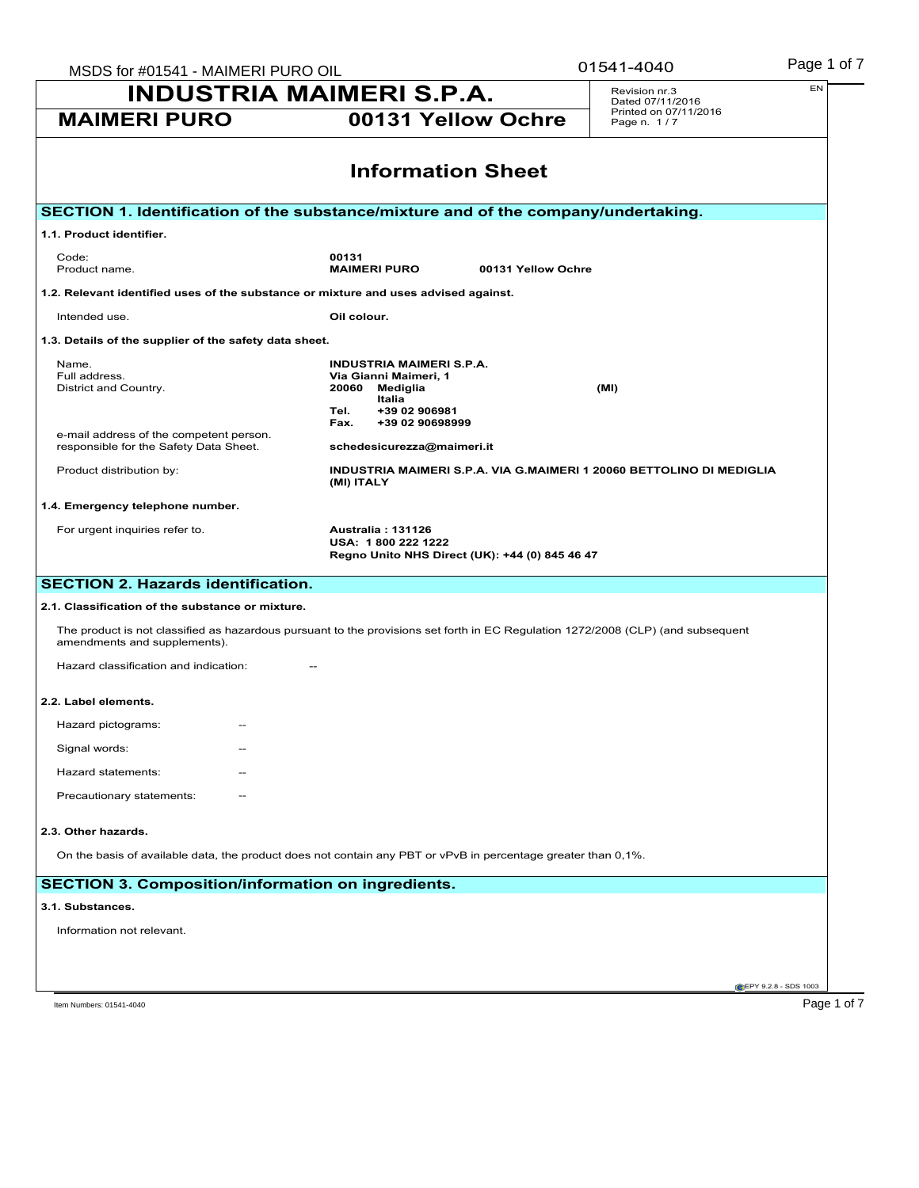|                                                                                                                              | 01541-4040<br>MSDS for #01541 - MAIMERI PURO OIL                                                                                            |                                      |  |
|------------------------------------------------------------------------------------------------------------------------------|---------------------------------------------------------------------------------------------------------------------------------------------|--------------------------------------|--|
| <b>INDUSTRIA MAIMERI S.P.A.</b>                                                                                              | Revision nr.3<br>Dated 07/11/2016                                                                                                           | EN                                   |  |
| <b>MAIMERI PURO</b>                                                                                                          | 00131 Yellow Ochre                                                                                                                          | Printed on 07/11/2016<br>Page n. 1/7 |  |
|                                                                                                                              | <b>Information Sheet</b>                                                                                                                    |                                      |  |
|                                                                                                                              | SECTION 1. Identification of the substance/mixture and of the company/undertaking.                                                          |                                      |  |
| 1.1. Product identifier.                                                                                                     |                                                                                                                                             |                                      |  |
| Code:<br>Product name.                                                                                                       | 00131<br><b>MAIMERI PURO</b><br>00131 Yellow Ochre                                                                                          |                                      |  |
| 1.2. Relevant identified uses of the substance or mixture and uses advised against.                                          |                                                                                                                                             |                                      |  |
| Intended use.                                                                                                                | Oil colour.                                                                                                                                 |                                      |  |
| 1.3. Details of the supplier of the safety data sheet.                                                                       |                                                                                                                                             |                                      |  |
| Name.<br>Full address.<br>District and Country.                                                                              | <b>INDUSTRIA MAIMERI S.P.A.</b><br>Via Gianni Maimeri, 1<br>20060<br>Mediglia<br>Italia<br>+39 02 906981<br>Tel.<br>Fax.<br>+39 02 90698999 | (MI)                                 |  |
| e-mail address of the competent person.<br>responsible for the Safety Data Sheet.                                            | schedesicurezza@maimeri.it                                                                                                                  |                                      |  |
| Product distribution by:                                                                                                     | INDUSTRIA MAIMERI S.P.A. VIA G.MAIMERI 1 20060 BETTOLINO DI MEDIGLIA<br>(MI) ITALY                                                          |                                      |  |
| 1.4. Emergency telephone number.                                                                                             |                                                                                                                                             |                                      |  |
| For urgent inquiries refer to.                                                                                               | Australia: 131126<br>USA: 1800 222 1222<br>Regno Unito NHS Direct (UK): +44 (0) 845 46 47                                                   |                                      |  |
| <b>SECTION 2. Hazards identification.</b>                                                                                    |                                                                                                                                             |                                      |  |
| 2.1. Classification of the substance or mixture.                                                                             |                                                                                                                                             |                                      |  |
| amendments and supplements).                                                                                                 | The product is not classified as hazardous pursuant to the provisions set forth in EC Regulation 1272/2008 (CLP) (and subsequent            |                                      |  |
| Hazard classification and indication:                                                                                        |                                                                                                                                             |                                      |  |
|                                                                                                                              |                                                                                                                                             |                                      |  |
|                                                                                                                              |                                                                                                                                             |                                      |  |
| Hazard pictograms:<br>$\overline{\phantom{m}}$                                                                               |                                                                                                                                             |                                      |  |
| Signal words:                                                                                                                |                                                                                                                                             |                                      |  |
| Hazard statements:                                                                                                           |                                                                                                                                             |                                      |  |
| Precautionary statements:                                                                                                    |                                                                                                                                             |                                      |  |
|                                                                                                                              |                                                                                                                                             |                                      |  |
|                                                                                                                              | On the basis of available data, the product does not contain any PBT or vPvB in percentage greater than 0,1%.                               |                                      |  |
|                                                                                                                              |                                                                                                                                             |                                      |  |
| 2.2. Label elements.<br>2.3. Other hazards.<br><b>SECTION 3. Composition/information on ingredients.</b><br>3.1. Substances. |                                                                                                                                             |                                      |  |
| Information not relevant.                                                                                                    |                                                                                                                                             |                                      |  |
|                                                                                                                              |                                                                                                                                             |                                      |  |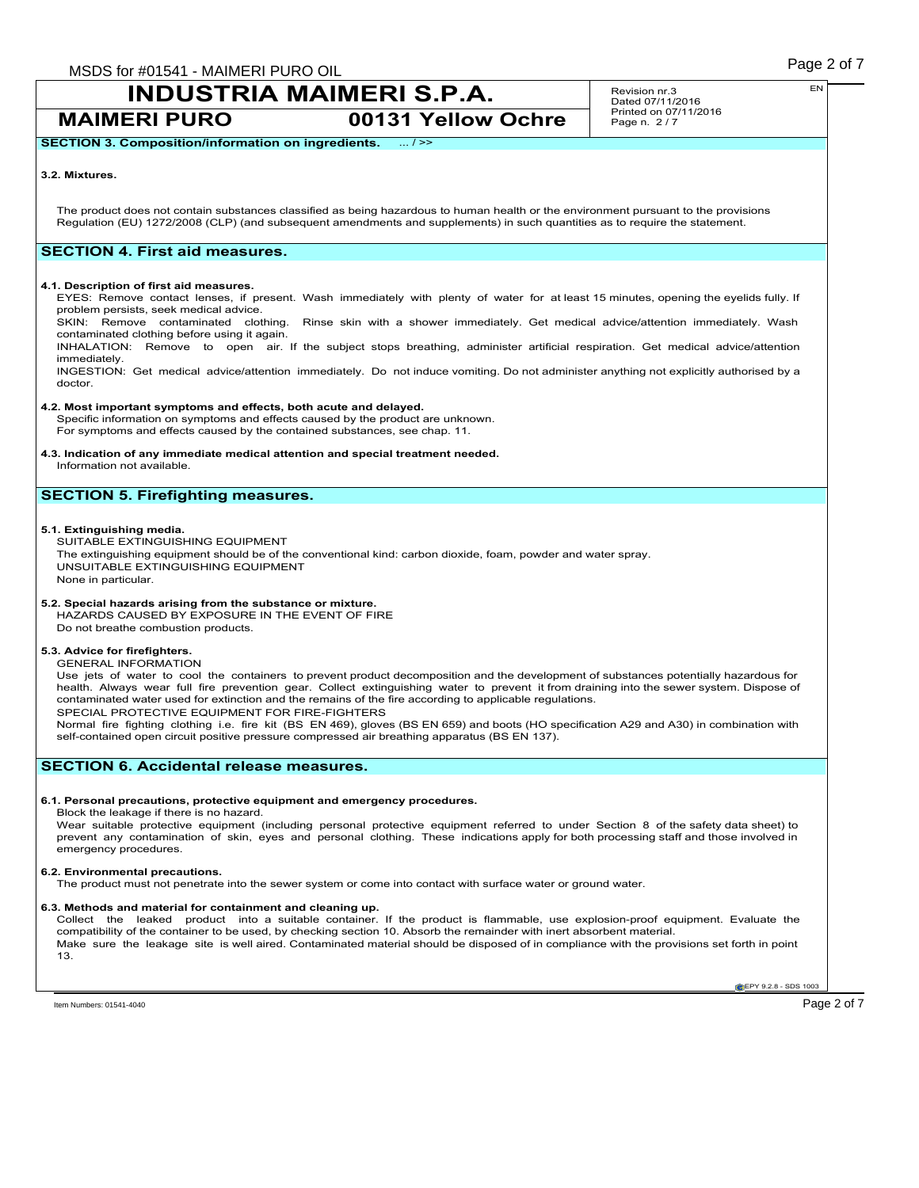**MAIMERI PURO 00131 Yellow Ochre**

Revision nr.3 Dated 07/11/2016 Printed on 07/11/2016 Page n. 2/7

**SECTION 3. Composition/information on ingredients.** ... / >>

#### **3.2. Mixtures.**

The product does not contain substances classified as being hazardous to human health or the environment pursuant to the provisions Regulation (EU) 1272/2008 (CLP) (and subsequent amendments and supplements) in such quantities as to require the statement.

# **SECTION 4. First aid measures.**

#### **4.1. Description of first aid measures.**

EYES: Remove contact lenses, if present. Wash immediately with plenty of water for at least 15 minutes, opening the eyelids fully. If problem persists, seek medical advice.

SKIN: Remove contaminated clothing. Rinse skin with a shower immediately. Get medical advice/attention immediately. Wash contaminated clothing before using it again.

INHALATION: Remove to open air. If the subject stops breathing, administer artificial respiration. Get medical advice/attention immediately.

INGESTION: Get medical advice/attention immediately. Do not induce vomiting. Do not administer anything not explicitly authorised by a doctor.

#### **4.2. Most important symptoms and effects, both acute and delayed.**

Specific information on symptoms and effects caused by the product are unknown. For symptoms and effects caused by the contained substances, see chap. 11.

# **4.3. Indication of any immediate medical attention and special treatment needed.**

Information not available.

# **SECTION 5. Firefighting measures.**

#### **5.1. Extinguishing media.**

SUITABLE EXTINGUISHING EQUIPMENT The extinguishing equipment should be of the conventional kind: carbon dioxide, foam, powder and water spray. UNSUITABLE EXTINGUISHING EQUIPMENT None in particular.

### **5.2. Special hazards arising from the substance or mixture.**

HAZARDS CAUSED BY EXPOSURE IN THE EVENT OF FIRE Do not breathe combustion products.

#### **5.3. Advice for firefighters.**

GENERAL INFORMATION

Use jets of water to cool the containers to prevent product decomposition and the development of substances potentially hazardous for health. Always wear full fire prevention gear. Collect extinguishing water to prevent it from draining into the sewer system. Dispose of contaminated water used for extinction and the remains of the fire according to applicable regulations. SPECIAL PROTECTIVE EQUIPMENT FOR FIRE-FIGHTERS

Normal fire fighting clothing i.e. fire kit (BS EN 469), gloves (BS EN 659) and boots (HO specification A29 and A30) in combination with self-contained open circuit positive pressure compressed air breathing apparatus (BS EN 137).

# **SECTION 6. Accidental release measures.**

#### **6.1. Personal precautions, protective equipment and emergency procedures.**

Block the leakage if there is no hazard.

Wear suitable protective equipment (including personal protective equipment referred to under Section 8 of the safety data sheet) to<br>prevent any contamination of skin, eyes and personal clothing. These indications apply fo emergency procedures.

#### **6.2. Environmental precautions.**

The product must not penetrate into the sewer system or come into contact with surface water or ground water.

### **6.3. Methods and material for containment and cleaning up.**

Collect the leaked product into a suitable container. If the product is flammable, use explosion-proof equipment. Evaluate the compatibility of the container to be used, by checking section 10. Absorb the remainder with inert absorbent material. Make sure the leakage site is well aired. Contaminated material should be disposed of in compliance with the provisions set forth in point 13.

**EPY 9.2.8 - SDS 1003**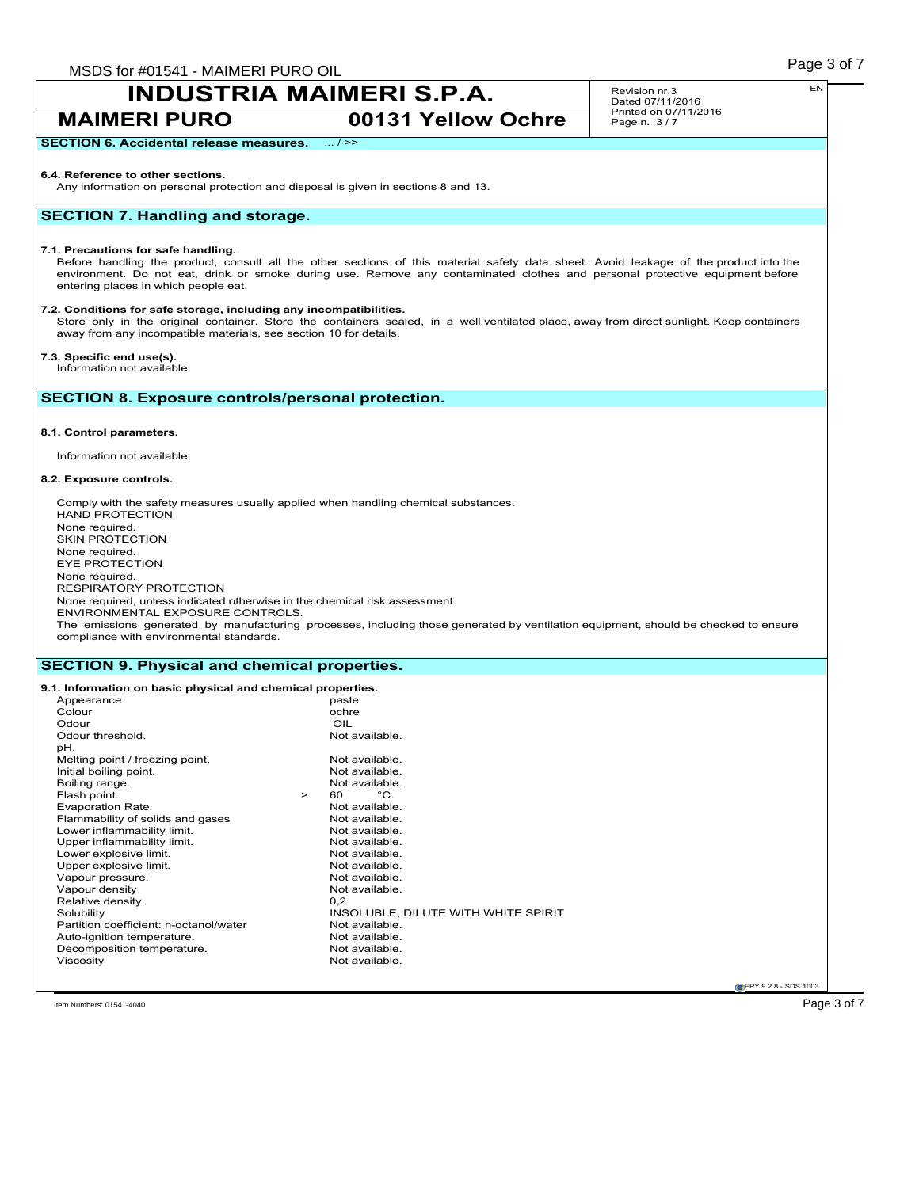**MAIMERI PURO 00131 Yellow Ochre**

**SECTION 6. Accidental release measures.** ... / >>

#### **6.4. Reference to other sections.**

Any information on personal protection and disposal is given in sections 8 and 13.

# **SECTION 7. Handling and storage.**

#### **7.1. Precautions for safe handling.**

Before handling the product, consult all the other sections of this material safety data sheet. Avoid leakage of the product into the environment. Do not eat, drink or smoke during use. Remove any contaminated clothes and personal protective equipment before entering places in which people eat.

#### **7.2. Conditions for safe storage, including any incompatibilities.**

Store only in the original container. Store the containers sealed, in a well ventilated place, away from direct sunlight. Keep containers away from any incompatible materials, see section 10 for details.

#### **7.3. Specific end use(s).**

Information not available.

# **SECTION 8. Exposure controls/personal protection.**

#### **8.1. Control parameters.**

Information not available.

#### **8.2. Exposure controls.**

Comply with the safety measures usually applied when handling chemical substances. HAND PROTECTION None required. SKIN PROTECTION None required. EYE PROTECTION None required. RESPIRATORY PROTECTION None required, unless indicated otherwise in the chemical risk assessment. ENVIRONMENTAL EXPOSURE CONTROLS. The emissions generated by manufacturing processes, including those generated by ventilation equipment, should be checked to ensure compliance with environmental standards.

### **SECTION 9. Physical and chemical properties.**

#### **9.1. Information on basic physical and chemical properties.**

| Appearance                             |        | paste                               |
|----------------------------------------|--------|-------------------------------------|
| Colour                                 |        | ochre                               |
| Odour                                  |        | OIL                                 |
| Odour threshold.                       |        | Not available.                      |
| pH.                                    |        |                                     |
| Melting point / freezing point.        |        | Not available.                      |
| Initial boiling point.                 |        | Not available.                      |
| Boiling range.                         |        | Not available.                      |
| Flash point.                           | $\geq$ | °€<br>60.                           |
| <b>Evaporation Rate</b>                |        | Not available.                      |
| Flammability of solids and gases       |        | Not available.                      |
| Lower inflammability limit.            |        | Not available.                      |
| Upper inflammability limit.            |        | Not available.                      |
| Lower explosive limit.                 |        | Not available.                      |
| Upper explosive limit.                 |        | Not available.                      |
| Vapour pressure.                       |        | Not available.                      |
| Vapour density                         |        | Not available.                      |
| Relative density.                      |        | 0.2                                 |
| Solubility                             |        | INSOLUBLE, DILUTE WITH WHITE SPIRIT |
| Partition coefficient: n-octanol/water |        | Not available.                      |
| Auto-ignition temperature.             |        | Not available.                      |
| Decomposition temperature.             |        | Not available.                      |
| Viscosity                              |        | Not available.                      |
|                                        |        |                                     |

**CEPY 9.2.8 - SDS 1003** 

Item Numbers: 01541-4040 Page 3 of 7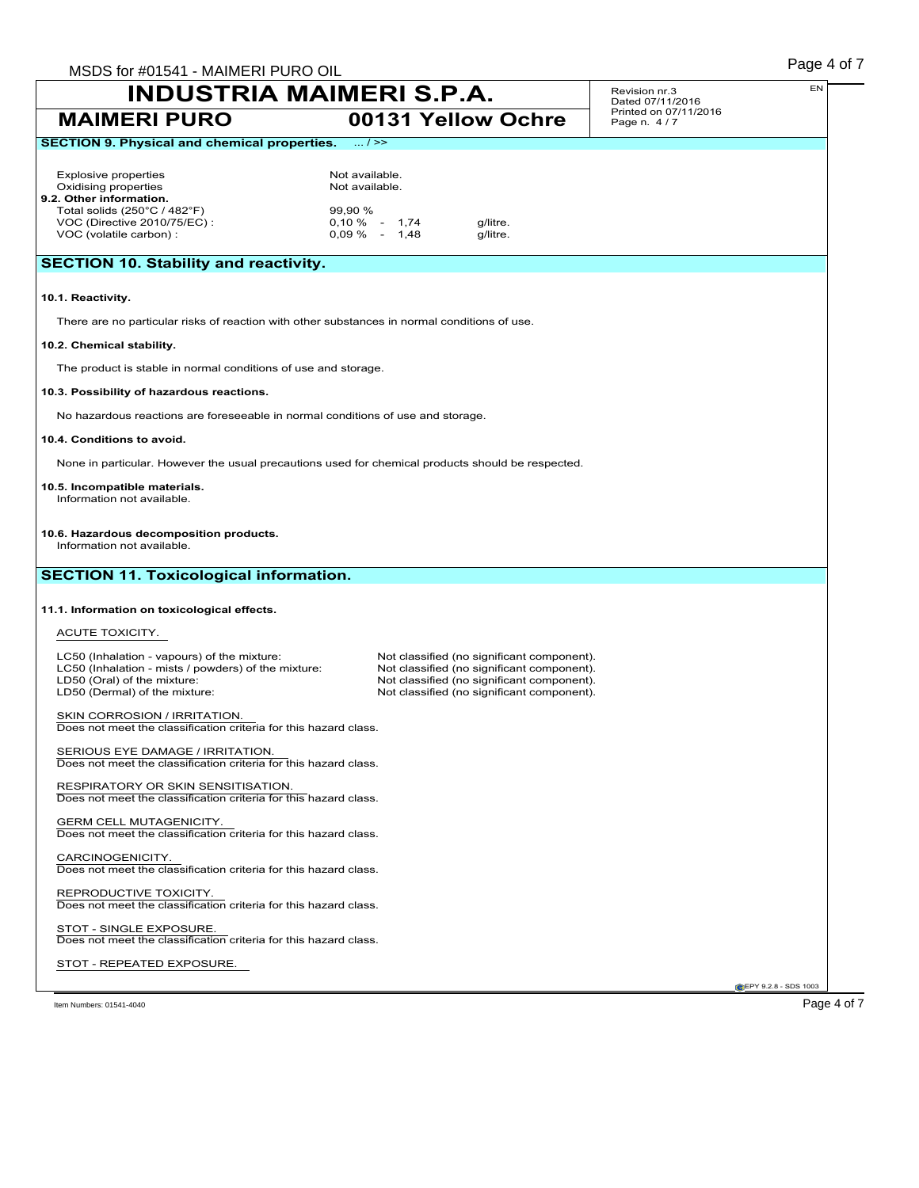| MSDS for #01541 - MAIMERI PURO OIL                                                                                                                                 |                 |  |                                                                                                                                                                                      |                                      | Page 4 of 7          |
|--------------------------------------------------------------------------------------------------------------------------------------------------------------------|-----------------|--|--------------------------------------------------------------------------------------------------------------------------------------------------------------------------------------|--------------------------------------|----------------------|
| <b>INDUSTRIA MAIMERI S.P.A.</b>                                                                                                                                    |                 |  | Revision nr.3<br>Dated 07/11/2016                                                                                                                                                    | EN                                   |                      |
| <b>MAIMERI PURO</b>                                                                                                                                                |                 |  | 00131 Yellow Ochre                                                                                                                                                                   | Printed on 07/11/2016<br>Page n. 4/7 |                      |
| <b>SECTION 9. Physical and chemical properties.</b>                                                                                                                | $\dots/$ >>     |  |                                                                                                                                                                                      |                                      |                      |
| <b>Explosive properties</b>                                                                                                                                        | Not available.  |  |                                                                                                                                                                                      |                                      |                      |
| Oxidising properties                                                                                                                                               | Not available.  |  |                                                                                                                                                                                      |                                      |                      |
| 9.2. Other information.<br>Total solids (250°C / 482°F)                                                                                                            | 99.90 %         |  |                                                                                                                                                                                      |                                      |                      |
| VOC (Directive 2010/75/EC) :                                                                                                                                       | $0,10\%$ - 1,74 |  | g/litre.                                                                                                                                                                             |                                      |                      |
| VOC (volatile carbon) :                                                                                                                                            | $0.09\% - 1.48$ |  | g/litre.                                                                                                                                                                             |                                      |                      |
| <b>SECTION 10. Stability and reactivity.</b>                                                                                                                       |                 |  |                                                                                                                                                                                      |                                      |                      |
| 10.1. Reactivity.                                                                                                                                                  |                 |  |                                                                                                                                                                                      |                                      |                      |
| There are no particular risks of reaction with other substances in normal conditions of use.                                                                       |                 |  |                                                                                                                                                                                      |                                      |                      |
| 10.2. Chemical stability.                                                                                                                                          |                 |  |                                                                                                                                                                                      |                                      |                      |
| The product is stable in normal conditions of use and storage.                                                                                                     |                 |  |                                                                                                                                                                                      |                                      |                      |
| 10.3. Possibility of hazardous reactions.                                                                                                                          |                 |  |                                                                                                                                                                                      |                                      |                      |
| No hazardous reactions are foreseeable in normal conditions of use and storage.                                                                                    |                 |  |                                                                                                                                                                                      |                                      |                      |
| 10.4. Conditions to avoid.                                                                                                                                         |                 |  |                                                                                                                                                                                      |                                      |                      |
| None in particular. However the usual precautions used for chemical products should be respected.                                                                  |                 |  |                                                                                                                                                                                      |                                      |                      |
| 10.5. Incompatible materials.<br>Information not available.                                                                                                        |                 |  |                                                                                                                                                                                      |                                      |                      |
| 10.6. Hazardous decomposition products.<br>Information not available.                                                                                              |                 |  |                                                                                                                                                                                      |                                      |                      |
| <b>SECTION 11. Toxicological information.</b>                                                                                                                      |                 |  |                                                                                                                                                                                      |                                      |                      |
| 11.1. Information on toxicological effects.                                                                                                                        |                 |  |                                                                                                                                                                                      |                                      |                      |
| ACUTE TOXICITY.                                                                                                                                                    |                 |  |                                                                                                                                                                                      |                                      |                      |
| LC50 (Inhalation - vapours) of the mixture:<br>LC50 (Inhalation - mists / powders) of the mixture:<br>LD50 (Oral) of the mixture:<br>LD50 (Dermal) of the mixture: |                 |  | Not classified (no significant component).<br>Not classified (no significant component).<br>Not classified (no significant component).<br>Not classified (no significant component). |                                      |                      |
| SKIN CORROSION / IRRITATION.<br>Does not meet the classification criteria for this hazard class.                                                                   |                 |  |                                                                                                                                                                                      |                                      |                      |
| SERIOUS EYE DAMAGE / IRRITATION.<br>Does not meet the classification criteria for this hazard class.                                                               |                 |  |                                                                                                                                                                                      |                                      |                      |
| RESPIRATORY OR SKIN SENSITISATION.<br>Does not meet the classification criteria for this hazard class.                                                             |                 |  |                                                                                                                                                                                      |                                      |                      |
| <b>GERM CELL MUTAGENICITY.</b><br>Does not meet the classification criteria for this hazard class.                                                                 |                 |  |                                                                                                                                                                                      |                                      |                      |
| CARCINOGENICITY.<br>Does not meet the classification criteria for this hazard class.                                                                               |                 |  |                                                                                                                                                                                      |                                      |                      |
| REPRODUCTIVE TOXICITY.<br>Does not meet the classification criteria for this hazard class.                                                                         |                 |  |                                                                                                                                                                                      |                                      |                      |
| STOT - SINGLE EXPOSURE.<br>Does not meet the classification criteria for this hazard class.                                                                        |                 |  |                                                                                                                                                                                      |                                      |                      |
| STOT - REPEATED EXPOSURE.                                                                                                                                          |                 |  |                                                                                                                                                                                      |                                      |                      |
|                                                                                                                                                                    |                 |  |                                                                                                                                                                                      |                                      | EPY 9.2.8 - SDS 1003 |
| Item Numbers: 01541-4040                                                                                                                                           |                 |  |                                                                                                                                                                                      |                                      | Page 4 of 7          |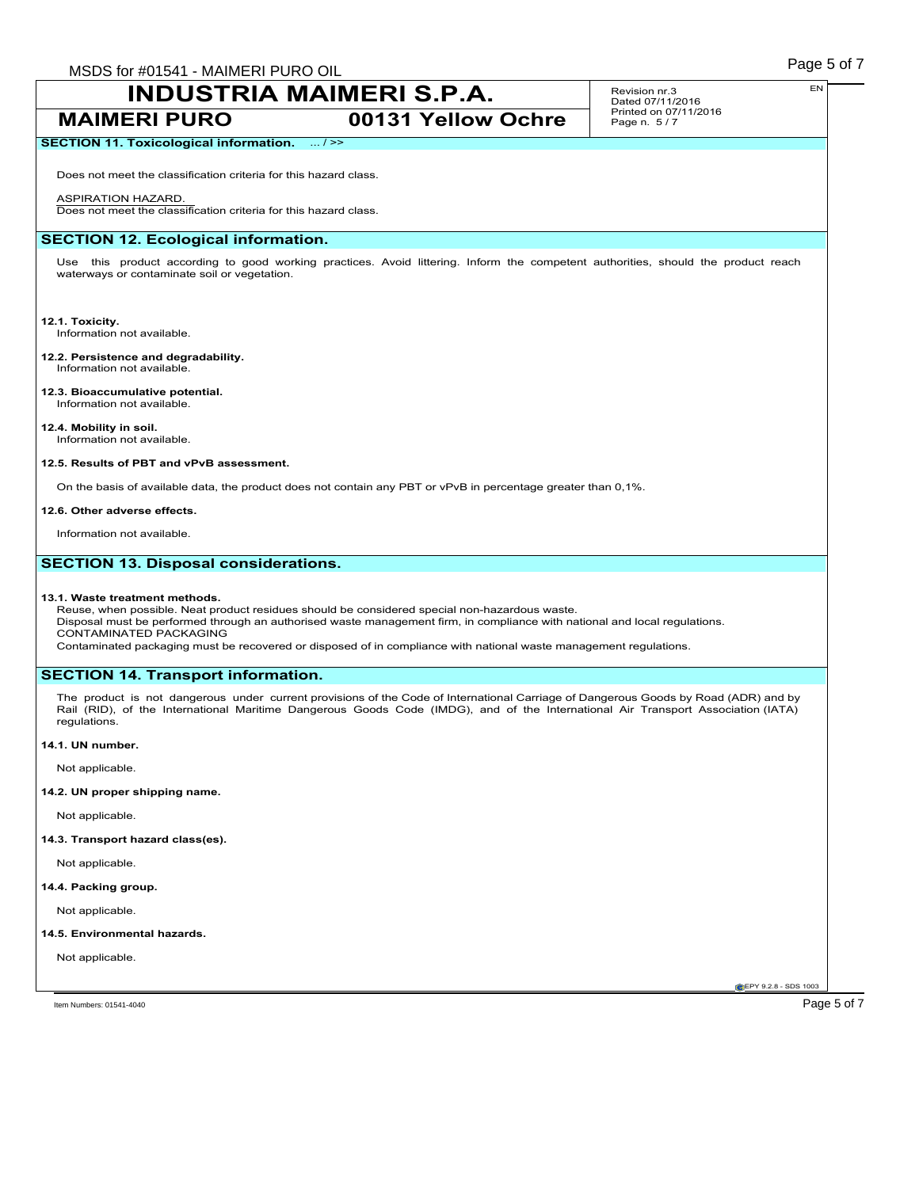**MAIMERI PURO 00131 Yellow Ochre**

**SECTION 11. Toxicological information.** ... / >>

Does not meet the classification criteria for this hazard class.

#### ASPIRATION HAZARD.

Does not meet the classification criteria for this hazard class.

# **SECTION 12. Ecological information.**

Use this product according to good working practices. Avoid littering. Inform the competent authorities, should the product reach waterways or contaminate soil or vegetation.

**12.1. Toxicity.**

Information not available.

#### **12.2. Persistence and degradability.** Information not available.

**12.3. Bioaccumulative potential.** Information not available.

# **12.4. Mobility in soil.**

Information not available.

### **12.5. Results of PBT and vPvB assessment.**

On the basis of available data, the product does not contain any PBT or vPvB in percentage greater than 0,1%.

#### **12.6. Other adverse effects.**

Information not available.

## **SECTION 13. Disposal considerations.**

#### **13.1. Waste treatment methods.**

Reuse, when possible. Neat product residues should be considered special non-hazardous waste. Disposal must be performed through an authorised waste management firm, in compliance with national and local regulations. CONTAMINATED PACKAGING

Contaminated packaging must be recovered or disposed of in compliance with national waste management regulations.

## **SECTION 14. Transport information.**

The product is not dangerous under current provisions of the Code of International Carriage of Dangerous Goods by Road (ADR) and by Rail (RID), of the International Maritime Dangerous Goods Code (IMDG), and of the International Air Transport Association (IATA) regulations.

#### **14.1. UN number.**

Not applicable.

**14.2. UN proper shipping name.**

Not applicable.

**14.3. Transport hazard class(es).**

Not applicable.

**14.4. Packing group.**

Not applicable.

#### **14.5. Environmental hazards.**

Not applicable.

**CEPY 9.2.8 - SDS 1003**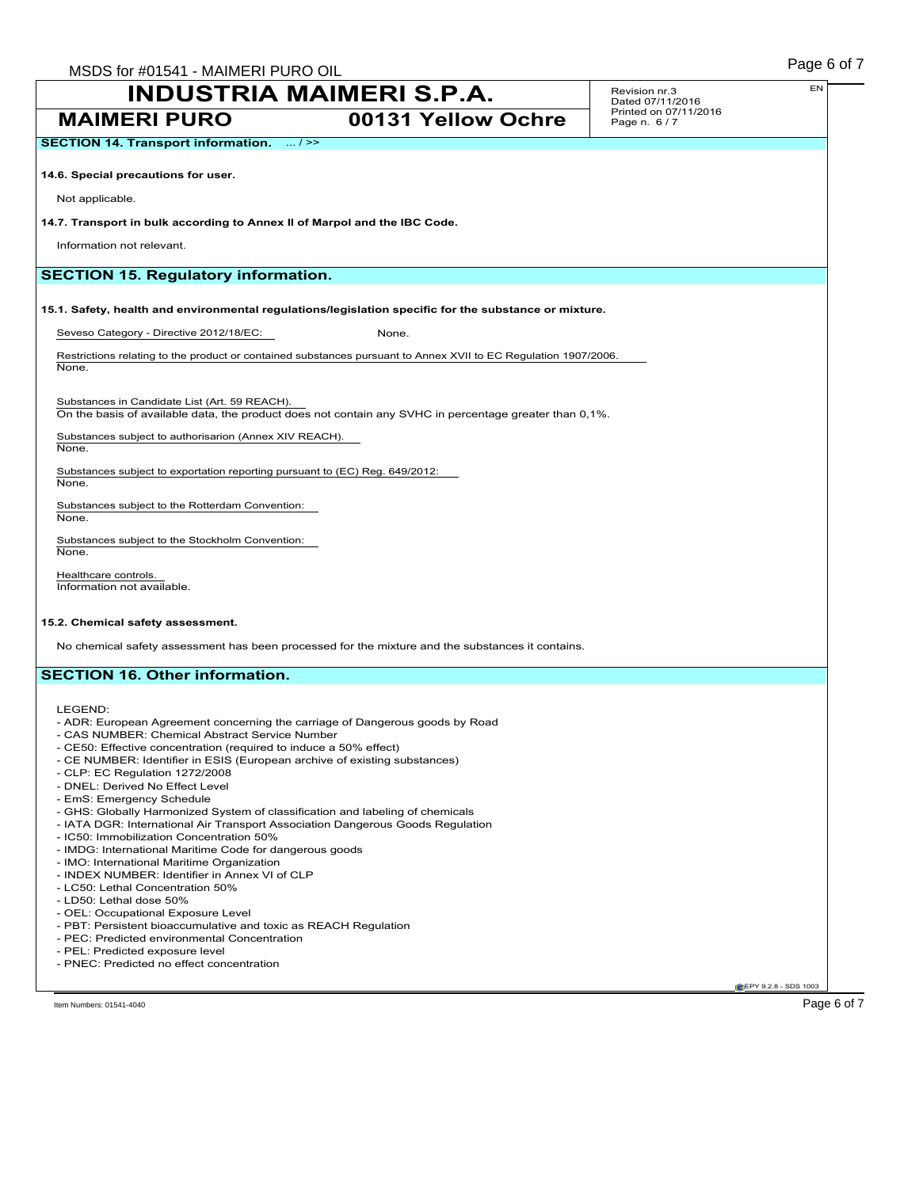| <b>INDUSTRIA MAIMERI S.P.A.</b>                                                                                                                         | EN<br>Revision nr.3<br>Dated 07/11/2016 |
|---------------------------------------------------------------------------------------------------------------------------------------------------------|-----------------------------------------|
| <b>MAIMERI PURO</b><br>00131 Yellow Ochre                                                                                                               | Printed on 07/11/2016<br>Page n. 6/7    |
| <b>SECTION 14. Transport information.</b> / >>                                                                                                          |                                         |
| 14.6. Special precautions for user.                                                                                                                     |                                         |
| Not applicable.                                                                                                                                         |                                         |
| 14.7. Transport in bulk according to Annex II of Marpol and the IBC Code.                                                                               |                                         |
| Information not relevant.                                                                                                                               |                                         |
| <b>SECTION 15. Regulatory information.</b>                                                                                                              |                                         |
| 15.1. Safety, health and environmental regulations/legislation specific for the substance or mixture.                                                   |                                         |
| Seveso Category - Directive 2012/18/EC:<br>None.                                                                                                        |                                         |
| Restrictions relating to the product or contained substances pursuant to Annex XVII to EC Regulation 1907/2006.                                         |                                         |
| None.                                                                                                                                                   |                                         |
| Substances in Candidate List (Art. 59 REACH).<br>On the basis of available data, the product does not contain any SVHC in percentage greater than 0,1%. |                                         |
| Substances subject to authorisarion (Annex XIV REACH).                                                                                                  |                                         |
| None.                                                                                                                                                   |                                         |
| Substances subject to exportation reporting pursuant to (EC) Reg. 649/2012:<br>None.                                                                    |                                         |
| Substances subject to the Rotterdam Convention:<br>None.                                                                                                |                                         |
| Substances subject to the Stockholm Convention:<br>None.                                                                                                |                                         |
| Healthcare controls.                                                                                                                                    |                                         |
| Information not available.                                                                                                                              |                                         |
| 15.2. Chemical safety assessment.                                                                                                                       |                                         |
| No chemical safety assessment has been processed for the mixture and the substances it contains.                                                        |                                         |
| <b>SECTION 16. Other information.</b>                                                                                                                   |                                         |
|                                                                                                                                                         |                                         |
| LEGEND:<br>- ADR: European Agreement concerning the carriage of Dangerous goods by Road                                                                 |                                         |
| - CAS NUMBER: Chemical Abstract Service Number<br>- CE50: Effective concentration (required to induce a 50% effect)                                     |                                         |
| - CE NUMBER: Identifier in ESIS (European archive of existing substances)                                                                               |                                         |
| - CLP: EC Regulation 1272/2008<br>- DNEL: Derived No Effect Level                                                                                       |                                         |
| - EmS: Emergency Schedule                                                                                                                               |                                         |
| - GHS: Globally Harmonized System of classification and labeling of chemicals                                                                           |                                         |
| - IATA DGR: International Air Transport Association Dangerous Goods Regulation<br>- IC50: Immobilization Concentration 50%                              |                                         |
| - IMDG: International Maritime Code for dangerous goods                                                                                                 |                                         |
| - IMO: International Maritime Organization                                                                                                              |                                         |
| - INDEX NUMBER: Identifier in Annex VI of CLP<br>- LC50: Lethal Concentration 50%                                                                       |                                         |
| - LD50: Lethal dose 50%                                                                                                                                 |                                         |
| - OEL: Occupational Exposure Level                                                                                                                      |                                         |
| - PBT: Persistent bioaccumulative and toxic as REACH Regulation<br>- PEC: Predicted environmental Concentration                                         |                                         |
| - PEL: Predicted exposure level                                                                                                                         |                                         |
| - PNEC: Predicted no effect concentration                                                                                                               |                                         |
|                                                                                                                                                         | <b>@EPY 9.2.8 - SDS 1003</b>            |
| Item Numbers: 01541-4040                                                                                                                                | Page 6 of 7                             |